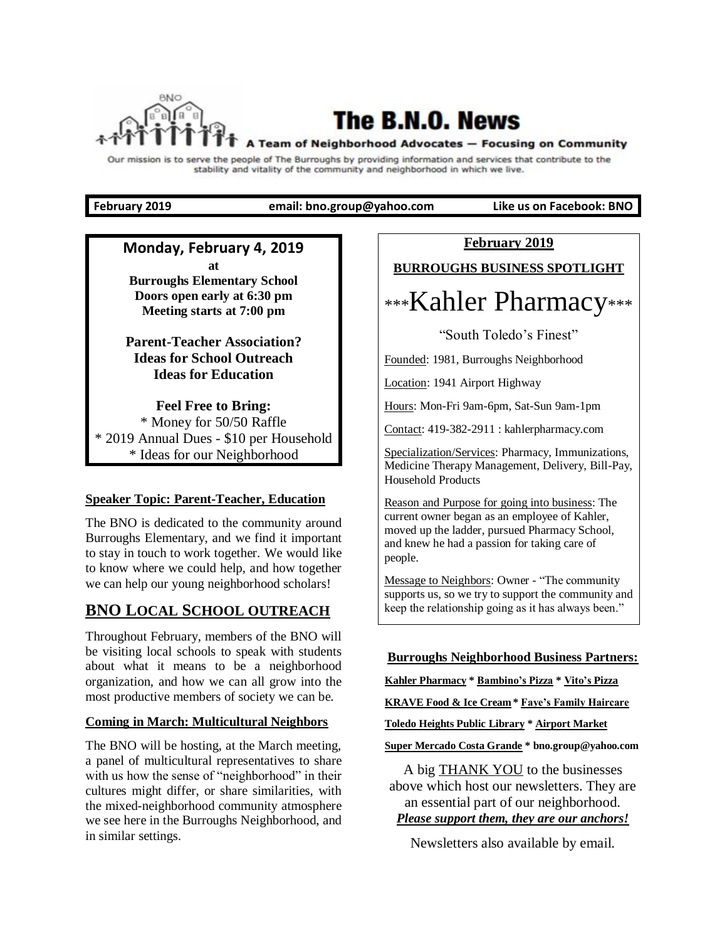

# **The B.N.O. News**

#### A Team of Neighborhood Advocates - Focusing on Community

Our mission is to serve the people of The Burroughs by providing information and services that contribute to the stability and vitality of the community and neighborhood in which we live.

**February 2019 email: bno.group@yahoo.com Like us on Facebook: BNO**

### **Monday, February 4, 2019 at**

**Burroughs Elementary School Doors open early at 6:30 pm Meeting starts at 7:00 pm**

## **Parent-Teacher Association? Ideas for School Outreach Ideas for Education**

**Feel Free to Bring:** \* Money for 50/50 Raffle \* 2019 Annual Dues - \$10 per Household \* Ideas for our Neighborhood

### **Speaker Topic: Parent-Teacher, Education**

The BNO is dedicated to the community around Burroughs Elementary, and we find it important to stay in touch to work together. We would like to know where we could help, and how together we can help our young neighborhood scholars!

# **BNO LOCAL SCHOOL OUTREACH**

Throughout February, members of the BNO will be visiting local schools to speak with students about what it means to be a neighborhood organization, and how we can all grow into the most productive members of society we can be.

## **Coming in March: Multicultural Neighbors**

The BNO will be hosting, at the March meeting, a panel of multicultural representatives to share with us how the sense of "neighborhood" in their cultures might differ, or share similarities, with the mixed-neighborhood community atmosphere we see here in the Burroughs Neighborhood, and in similar settings.

**February 2019**

**BURROUGHS BUSINESS SPOTLIGHT**

# \*\*\*Kahler Pharmacy\*\*\*

"South Toledo's Finest"

Founded: 1981, Burroughs Neighborhood

Location: 1941 Airport Highway

Hours: Mon-Fri 9am-6pm, Sat-Sun 9am-1pm

Contact: 419-382-2911 : kahlerpharmacy.com

Specialization/Services: Pharmacy, Immunizations, Medicine Therapy Management, Delivery, Bill-Pay, Household Products

Reason and Purpose for going into business: The current owner began as an employee of Kahler, moved up the ladder, pursued Pharmacy School, and knew he had a passion for taking care of people.

Message to Neighbors: Owner - "The community supports us, so we try to support the community and keep the relationship going as it has always been."

## **Burroughs Neighborhood Business Partners:**

**Kahler Pharmacy \* Bambino's Pizza \* Vito's Pizza**

**KRAVE Food & Ice Cream \* Faye's Family Haircare**

**Toledo Heights Public Library \* Airport Market**

**Super Mercado Costa Grande \* bno.group@yahoo.com**

A big **THANK YOU** to the businesses above which host our newsletters. They are an essential part of our neighborhood. *Please support them, they are our anchors!*

Newsletters also available by email.